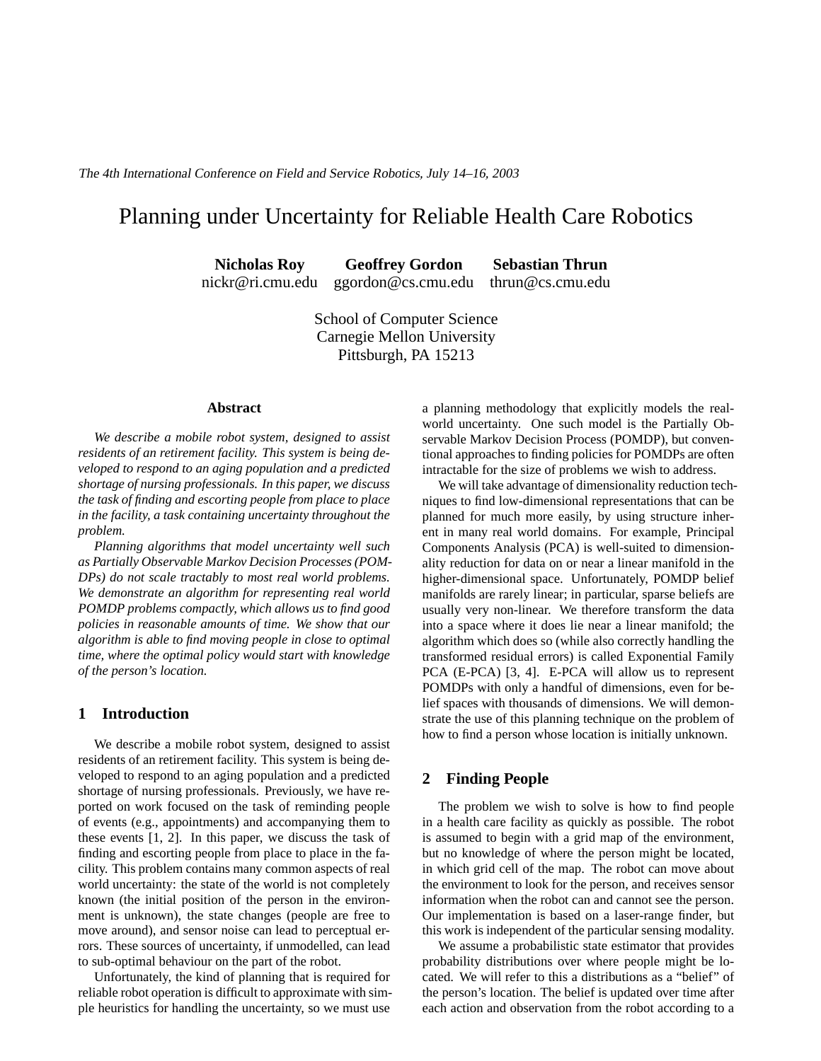The 4th International Conference on Field and Service Robotics, July 14–16, 2003

# Planning under Uncertainty for Reliable Health Care Robotics

**Nicholas Roy Geoffrey Gordon Sebastian Thrun** nickr@ri.cmu.edu ggordon@cs.cmu.edu thrun@cs.cmu.edu

> School of Computer Science Carnegie Mellon University Pittsburgh, PA 15213

#### **Abstract**

*We describe a mobile robot system, designed to assist residents of an retirement facility. This system is being developed to respond to an aging population and a predicted shortage of nursing professionals. In this paper, we discuss the task of finding and escorting people from place to place in the facility, a task containing uncertainty throughout the problem.*

*Planning algorithms that model uncertainty well such as Partially Observable Markov Decision Processes(POM-DPs) do not scale tractably to most real world problems. We demonstrate an algorithm for representing real world POMDP problems compactly, which allows us to find good policies in reasonable amounts of time. We show that our algorithm is able to find moving people in close to optimal time, where the optimal policy would start with knowledge of the person's location.*

# **1 Introduction**

We describe a mobile robot system, designed to assist residents of an retirement facility. This system is being developed to respond to an aging population and a predicted shortage of nursing professionals. Previously, we have reported on work focused on the task of reminding people of events (e.g., appointments) and accompanying them to these events [1, 2]. In this paper, we discuss the task of finding and escorting people from place to place in the facility. This problem contains many common aspects of real world uncertainty: the state of the world is not completely known (the initial position of the person in the environment is unknown), the state changes (people are free to move around), and sensor noise can lead to perceptual errors. These sources of uncertainty, if unmodelled, can lead to sub-optimal behaviour on the part of the robot.

Unfortunately, the kind of planning that is required for reliable robot operation is difficult to approximate with simple heuristics for handling the uncertainty, so we must use

a planning methodology that explicitly models the realworld uncertainty. One such model is the Partially Observable Markov Decision Process (POMDP), but conventional approaches to finding policies for POMDPs are often intractable for the size of problems we wish to address.

We will take advantage of dimensionality reduction techniques to find low-dimensional representations that can be planned for much more easily, by using structure inherent in many real world domains. For example, Principal Components Analysis (PCA) is well-suited to dimensionality reduction for data on or near a linear manifold in the higher-dimensional space. Unfortunately, POMDP belief manifolds are rarely linear; in particular, sparse beliefs are usually very non-linear. We therefore transform the data into a space where it does lie near a linear manifold; the algorithm which does so (while also correctly handling the transformed residual errors) is called Exponential Family PCA (E-PCA) [3, 4]. E-PCA will allow us to represent POMDPs with only a handful of dimensions, even for belief spaces with thousands of dimensions. We will demonstrate the use of this planning technique on the problem of how to find a person whose location is initially unknown.

## **2 Finding People**

The problem we wish to solve is how to find people in a health care facility as quickly as possible. The robot is assumed to begin with a grid map of the environment, but no knowledge of where the person might be located, in which grid cell of the map. The robot can move about the environment to look for the person, and receives sensor information when the robot can and cannot see the person. Our implementation is based on a laser-range finder, but this work is independent of the particular sensing modality.

We assume a probabilistic state estimator that provides probability distributions over where people might be located. We will refer to this a distributions as a "belief" of the person's location. The belief is updated over time after each action and observation from the robot according to a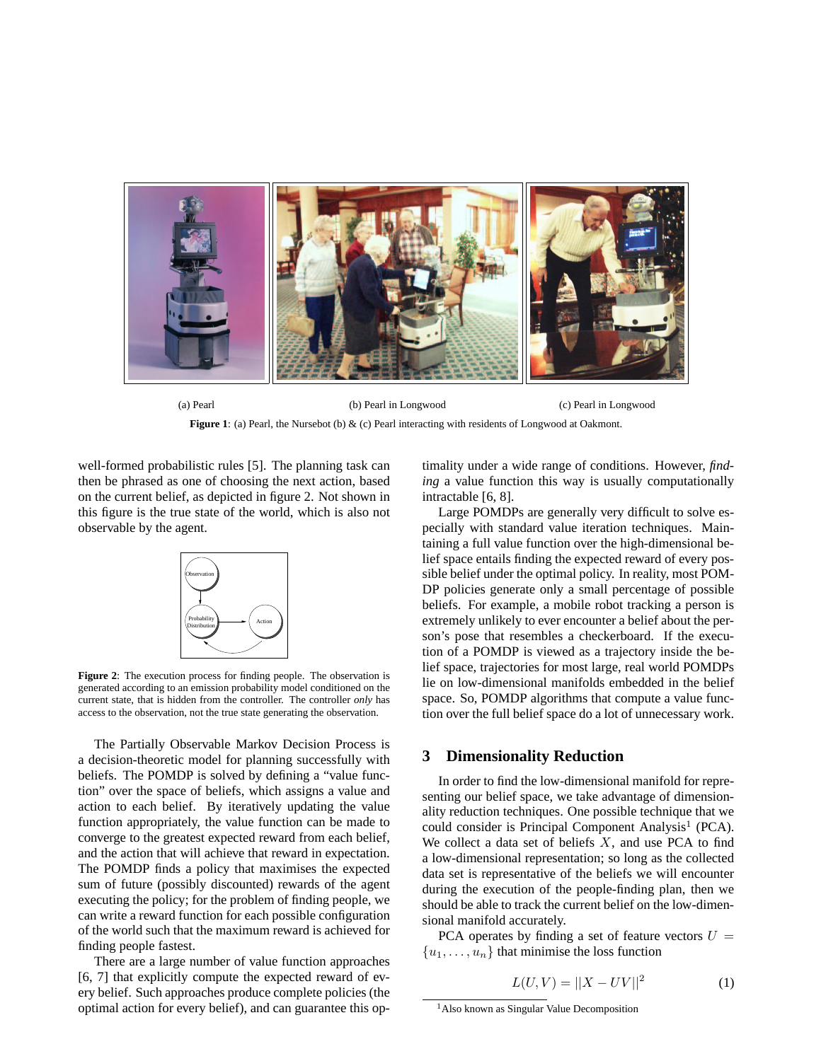

(a) Pearl (b) Pearl in Longwood (c) Pearl in Longwood **Figure 1**: (a) Pearl, the Nursebot (b) & (c) Pearl interacting with residents of Longwood at Oakmont.

well-formed probabilistic rules [5]. The planning task can then be phrased as one of choosing the next action, based on the current belief, as depicted in figure 2. Not shown in this figure is the true state of the world, which is also not observable by the agent.



**Figure 2**: The execution process for finding people. The observation is generated according to an emission probability model conditioned on the current state, that is hidden from the controller. The controller *only* has access to the observation, not the true state generating the observation.

The Partially Observable Markov Decision Process is a decision-theoretic model for planning successfully with beliefs. The POMDP is solved by defining a "value function" over the space of beliefs, which assigns a value and action to each belief. By iteratively updating the value function appropriately, the value function can be made to converge to the greatest expected reward from each belief, and the action that will achieve that reward in expectation. The POMDP finds a policy that maximises the expected sum of future (possibly discounted) rewards of the agent executing the policy; for the problem of finding people, we can write a reward function for each possible configuration of the world such that the maximum reward is achieved for finding people fastest.

There are a large number of value function approaches [6, 7] that explicitly compute the expected reward of every belief. Such approaches produce complete policies (the optimal action for every belief), and can guarantee this optimality under a wide range of conditions. However, *finding* a value function this way is usually computationally intractable [6, 8].

Large POMDPs are generally very difficult to solve especially with standard value iteration techniques. Maintaining a full value function over the high-dimensional belief space entails finding the expected reward of every possible belief under the optimal policy. In reality, most POM-DP policies generate only a small percentage of possible beliefs. For example, a mobile robot tracking a person is extremely unlikely to ever encounter a belief about the person's pose that resembles a checkerboard. If the execution of a POMDP is viewed as a trajectory inside the belief space, trajectories for most large, real world POMDPs lie on low-dimensional manifolds embedded in the belief space. So, POMDP algorithms that compute a value function over the full belief space do a lot of unnecessary work.

#### **3 Dimensionality Reduction**

In order to find the low-dimensional manifold for representing our belief space, we take advantage of dimensionality reduction techniques. One possible technique that we could consider is Principal Component Analysis<sup>1</sup> (PCA). We collect a data set of beliefs  $X$ , and use PCA to find a low-dimensional representation; so long as the collected data set is representative of the beliefs we will encounter during the execution of the people-finding plan, then we should be able to track the current belief on the low-dimensional manifold accurately.

PCA operates by finding a set of feature vectors  $U =$  ${u_1, \ldots, u_n}$  that minimise the loss function

$$
L(U, V) = ||X - UV||^2
$$
 (1)

<sup>1</sup>Also known as Singular Value Decomposition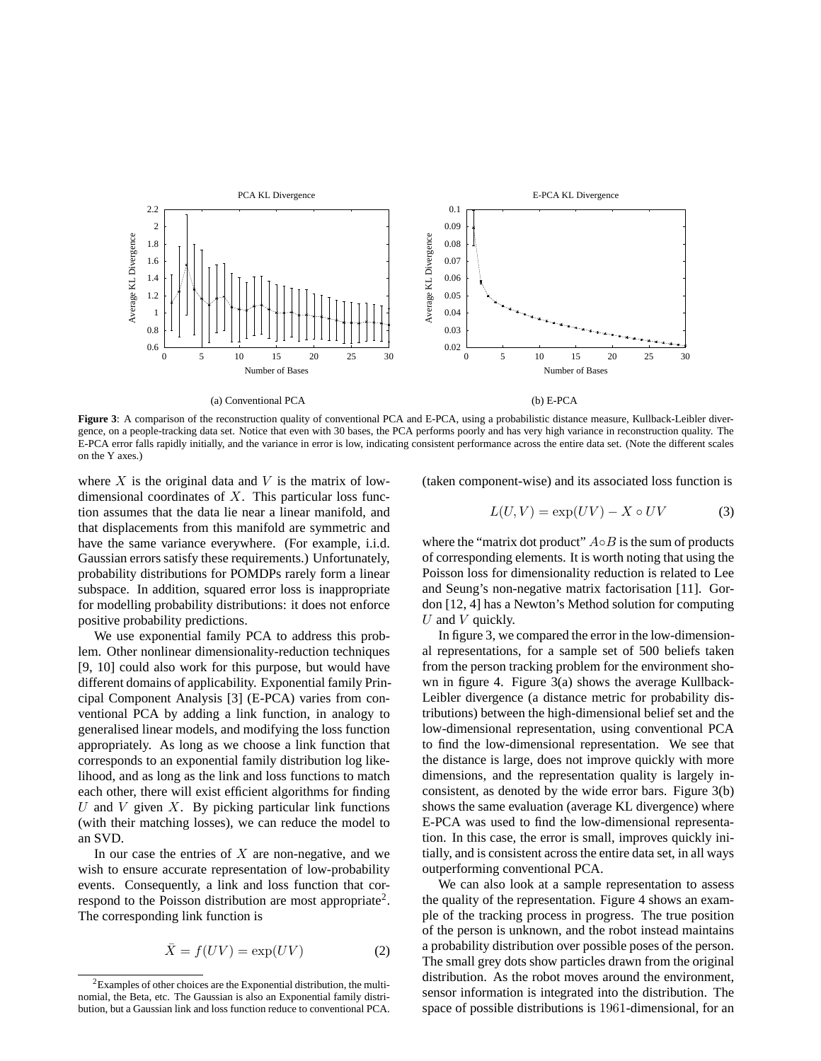

**Figure 3**: A comparison of the reconstruction quality of conventional PCA and E-PCA, using a probabilistic distance measure, Kullback-Leibler divergence, on a people-tracking data set. Notice that even with 30 bases, the PCA performs poorly and has very high variance in reconstruction quality. The E-PCA error falls rapidly initially, and the variance in error is low, indicating consistent performance across the entire data set. (Note the different scales on the Y axes.)

where  $X$  is the original data and  $V$  is the matrix of lowdimensional coordinates of  $X$ . This particular loss function assumes that the data lie near a linear manifold, and that displacements from this manifold are symmetric and have the same variance everywhere. (For example, i.i.d. Gaussian errors satisfy these requirements.) Unfortunately, probability distributions for POMDPs rarely form a linear subspace. In addition, squared error loss is inappropriate for modelling probability distributions: it does not enforce positive probability predictions.

We use exponential family PCA to address this problem. Other nonlinear dimensionality-reduction techniques [9, 10] could also work for this purpose, but would have different domains of applicability. Exponential family Principal Component Analysis [3] (E-PCA) varies from conventional PCA by adding a link function, in analogy to generalised linear models, and modifying the loss function appropriately. As long as we choose a link function that corresponds to an exponential family distribution log likelihood, and as long as the link and loss functions to match each other, there will exist efficient algorithms for finding U and V given  $X$ . By picking particular link functions (with their matching losses), we can reduce the model to an SVD.

In our case the entries of  $X$  are non-negative, and we wish to ensure accurate representation of low-probability events. Consequently, a link and loss function that correspond to the Poisson distribution are most appropriate<sup>2</sup>. The corresponding link function is

$$
\bar{X} = f(UV) = \exp(UV) \tag{2}
$$

(taken component-wise) and its associated loss function is

$$
L(U, V) = \exp(UV) - X \circ UV \tag{3}
$$

where the "matrix dot product"  $A \circ B$  is the sum of products of corresponding elements. It is worth noting that using the Poisson loss for dimensionality reduction is related to Lee and Seung's non-negative matrix factorisation [11]. Gordon [12, 4] has a Newton's Method solution for computing  $U$  and  $V$  quickly.

In figure 3, we compared the error in the low-dimensional representations, for a sample set of 500 beliefs taken from the person tracking problem for the environment shown in figure 4. Figure 3(a) shows the average Kullback-Leibler divergence (a distance metric for probability distributions) between the high-dimensional belief set and the low-dimensional representation, using conventional PCA to find the low-dimensional representation. We see that the distance is large, does not improve quickly with more dimensions, and the representation quality is largely inconsistent, as denoted by the wide error bars. Figure 3(b) shows the same evaluation (average KL divergence) where E-PCA was used to find the low-dimensional representation. In this case, the error is small, improves quickly initially, and is consistent across the entire data set, in all ways outperforming conventional PCA.

We can also look at a sample representation to assess the quality of the representation. Figure 4 shows an example of the tracking process in progress. The true position of the person is unknown, and the robot instead maintains a probability distribution over possible poses of the person. The small grey dots show particles drawn from the original distribution. As the robot moves around the environment, sensor information is integrated into the distribution. The space of possible distributions is 1961-dimensional, for an

<sup>2</sup>Examples of other choices are the Exponential distribution, the multinomial, the Beta, etc. The Gaussian is also an Exponential family distribution, but a Gaussian link and loss function reduce to conventional PCA.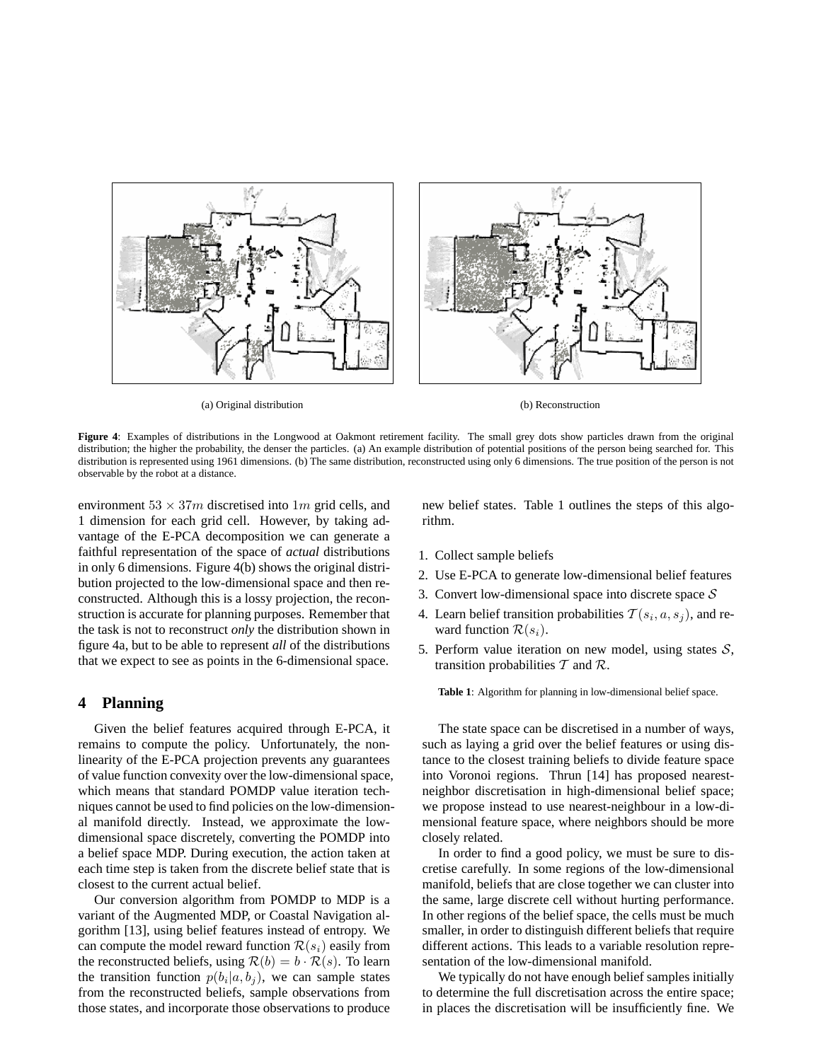

(a) Original distribution (b) Reconstruction

**Figure 4**: Examples of distributions in the Longwood at Oakmont retirement facility. The small grey dots show particles drawn from the original distribution; the higher the probability, the denser the particles. (a) An example distribution of potential positions of the person being searched for. This distribution is represented using 1961 dimensions. (b) The same distribution, reconstructed using only 6 dimensions. The true position of the person is not observable by the robot at a distance.

environment  $53 \times 37m$  discretised into 1m grid cells, and 1 dimension for each grid cell. However, by taking advantage of the E-PCA decomposition we can generate a faithful representation of the space of *actual* distributions in only 6 dimensions. Figure 4(b) shows the original distribution projected to the low-dimensional space and then reconstructed. Although this is a lossy projection, the reconstruction is accurate for planning purposes. Remember that the task is not to reconstruct *only* the distribution shown in figure 4a, but to be able to represent *all* of the distributions that we expect to see as points in the 6-dimensional space.

## **4 Planning**

Given the belief features acquired through E-PCA, it remains to compute the policy. Unfortunately, the nonlinearity of the E-PCA projection prevents any guarantees of value function convexity over the low-dimensionalspace, which means that standard POMDP value iteration techniques cannot be used to find policies on the low-dimensional manifold directly. Instead, we approximate the lowdimensional space discretely, converting the POMDP into a belief space MDP. During execution, the action taken at each time step is taken from the discrete belief state that is closest to the current actual belief.

Our conversion algorithm from POMDP to MDP is a variant of the Augmented MDP, or Coastal Navigation algorithm [13], using belief features instead of entropy. We can compute the model reward function  $\mathcal{R}(s_i)$  easily from the reconstructed beliefs, using  $\mathcal{R}(b) = b \cdot \mathcal{R}(s)$ . To learn the transition function  $p(b_i|a, b_j)$ , we can sample states from the reconstructed beliefs, sample observations from those states, and incorporate those observations to produce

new belief states. Table 1 outlines the steps of this algorithm.

- 1. Collect sample beliefs
- 2. Use E-PCA to generate low-dimensional belief features
- 3. Convert low-dimensional space into discrete space  $S$
- 4. Learn belief transition probabilities  $\mathcal{T}(s_i, a, s_j)$ , and reward function  $\mathcal{R}(s_i)$ .
- 5. Perform value iteration on new model, using states  $S$ , transition probabilities  $T$  and  $\mathcal{R}$ .

**Table 1**: Algorithm for planning in low-dimensional belief space.

The state space can be discretised in a number of ways, such as laying a grid over the belief features or using distance to the closest training beliefs to divide feature space into Voronoi regions. Thrun [14] has proposed nearestneighbor discretisation in high-dimensional belief space; we propose instead to use nearest-neighbour in a low-dimensional feature space, where neighbors should be more closely related.

In order to find a good policy, we must be sure to discretise carefully. In some regions of the low-dimensional manifold, beliefs that are close together we can cluster into the same, large discrete cell without hurting performance. In other regions of the belief space, the cells must be much smaller, in order to distinguish different beliefs that require different actions. This leads to a variable resolution representation of the low-dimensional manifold.

We typically do not have enough belief samples initially to determine the full discretisation across the entire space; in places the discretisation will be insufficiently fine. We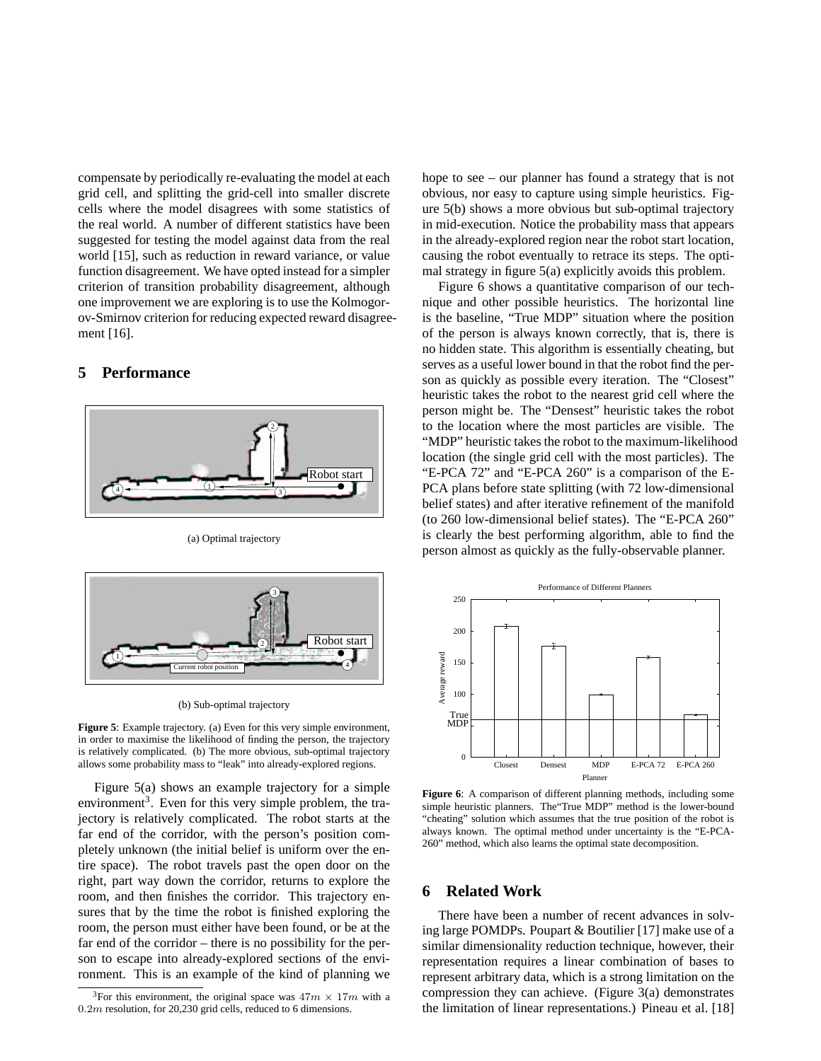compensate by periodically re-evaluating the model at each grid cell, and splitting the grid-cell into smaller discrete cells where the model disagrees with some statistics of the real world. A number of different statistics have been suggested for testing the model against data from the real world [15], such as reduction in reward variance, or value function disagreement. We have opted instead for a simpler criterion of transition probability disagreement, although one improvement we are exploring is to use the Kolmogorov-Smirnov criterion for reducing expected reward disagreement [16].

### **5 Performance**



(a) Optimal trajectory



(b) Sub-optimal trajectory

**Figure 5**: Example trajectory. (a) Even for this very simple environment, in order to maximise the likelihood of finding the person, the trajectory is relatively complicated. (b) The more obvious, sub-optimal trajectory allows some probability mass to "leak" into already-explored regions.

Figure 5(a) shows an example trajectory for a simple environment<sup>3</sup>. Even for this very simple problem, the trajectory is relatively complicated. The robot starts at the far end of the corridor, with the person's position completely unknown (the initial belief is uniform over the entire space). The robot travels past the open door on the right, part way down the corridor, returns to explore the room, and then finishes the corridor. This trajectory ensures that by the time the robot is finished exploring the room, the person must either have been found, or be at the far end of the corridor – there is no possibility for the person to escape into already-explored sections of the environment. This is an example of the kind of planning we hope to see – our planner has found a strategy that is not obvious, nor easy to capture using simple heuristics. Figure 5(b) shows a more obvious but sub-optimal trajectory in mid-execution. Notice the probability mass that appears in the already-explored region near the robot start location, causing the robot eventually to retrace its steps. The optimal strategy in figure 5(a) explicitly avoids this problem.

Figure 6 shows a quantitative comparison of our technique and other possible heuristics. The horizontal line is the baseline, "True MDP" situation where the position of the person is always known correctly, that is, there is no hidden state. This algorithm is essentially cheating, but serves as a useful lower bound in that the robot find the person as quickly as possible every iteration. The "Closest" heuristic takes the robot to the nearest grid cell where the person might be. The "Densest" heuristic takes the robot to the location where the most particles are visible. The "MDP" heuristic takes the robot to the maximum-likelihood location (the single grid cell with the most particles). The "E-PCA 72" and "E-PCA 260" is a comparison of the E-PCA plans before state splitting (with 72 low-dimensional belief states) and after iterative refinement of the manifold (to 260 low-dimensional belief states). The "E-PCA 260" is clearly the best performing algorithm, able to find the person almost as quickly as the fully-observable planner.



**Figure 6**: A comparison of different planning methods, including some simple heuristic planners. The"True MDP" method is the lower-bound "cheating" solution which assumes that the true position of the robot is always known. The optimal method under uncertainty is the "E-PCA-260" method, which also learns the optimal state decomposition.

# **6 Related Work**

There have been a number of recent advances in solving large POMDPs. Poupart & Boutilier [17] make use of a similar dimensionality reduction technique, however, their representation requires a linear combination of bases to represent arbitrary data, which is a strong limitation on the compression they can achieve. (Figure 3(a) demonstrates the limitation of linear representations.) Pineau et al. [18]

<sup>&</sup>lt;sup>3</sup>For this environment, the original space was  $47m \times 17m$  with a 0.2m resolution, for 20,230 grid cells, reduced to 6 dimensions.